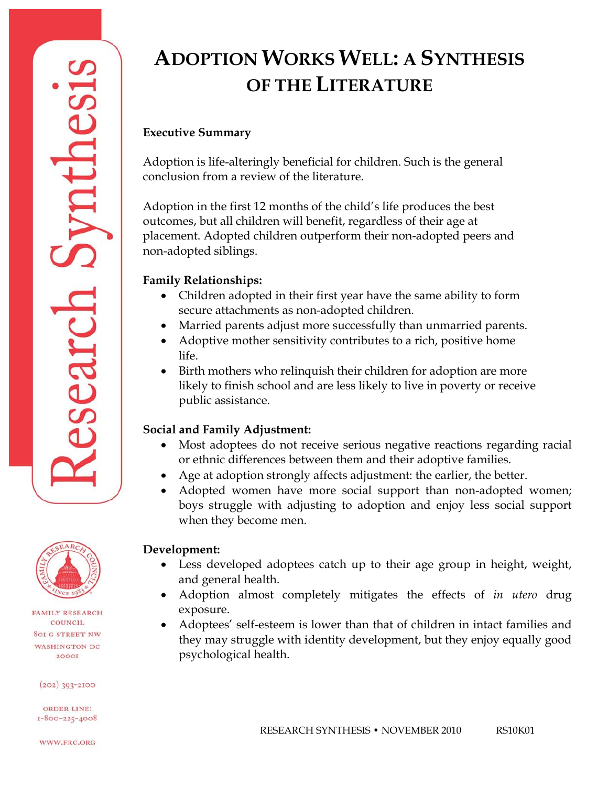

**FAMILY RESEARCH** COUNCIL. **801 G STREET NW WASHINGTON DC 2000I** 

 $(202)$  393-2100

**ORDER LINE:**  $I - 800 - 225 - 4008$ 

WWW.FRC.ORG

# **ADOPTION WORKS WELL: A SYNTHESIS OF THE LITERATURE**

## **Executive Summary**

Adoption is life-alteringly beneficial for children. Such is the general conclusion from a review of the literature.

Adoption in the first 12 months of the child's life produces the best outcomes, but all children will benefit, regardless of their age at placement. Adopted children outperform their non-adopted peers and non-adopted siblings.

## **Family Relationships:**

- Children adopted in their first year have the same ability to form secure attachments as non-adopted children.
- Married parents adjust more successfully than unmarried parents.
- Adoptive mother sensitivity contributes to a rich, positive home life.
- Birth mothers who relinquish their children for adoption are more likely to finish school and are less likely to live in poverty or receive public assistance.

## **Social and Family Adjustment:**

- Most adoptees do not receive serious negative reactions regarding racial or ethnic differences between them and their adoptive families.
- Age at adoption strongly affects adjustment: the earlier, the better.
- Adopted women have more social support than non-adopted women; boys struggle with adjusting to adoption and enjoy less social support when they become men.

## **Development:**

- Less developed adoptees catch up to their age group in height, weight, and general health.
- Adoption almost completely mitigates the effects of *in utero* drug exposure.
- Adoptees' self-esteem is lower than that of children in intact families and they may struggle with identity development, but they enjoy equally good psychological health.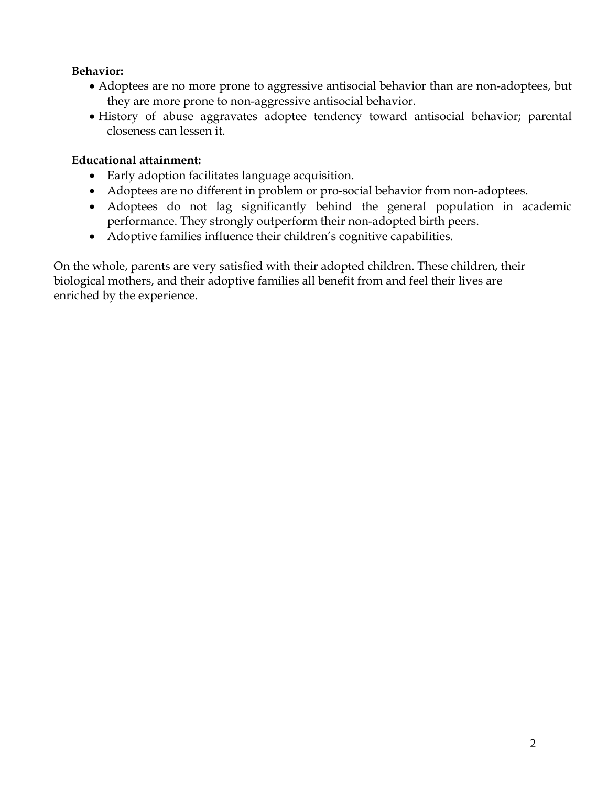## **Behavior:**

- Adoptees are no more prone to aggressive antisocial behavior than are non-adoptees, but they are more prone to non-aggressive antisocial behavior.
- History of abuse aggravates adoptee tendency toward antisocial behavior; parental closeness can lessen it.

## **Educational attainment:**

- Early adoption facilitates language acquisition.
- Adoptees are no different in problem or pro-social behavior from non-adoptees.
- Adoptees do not lag significantly behind the general population in academic performance. They strongly outperform their non-adopted birth peers.
- Adoptive families influence their children's cognitive capabilities.

On the whole, parents are very satisfied with their adopted children. These children, their biological mothers, and their adoptive families all benefit from and feel their lives are enriched by the experience.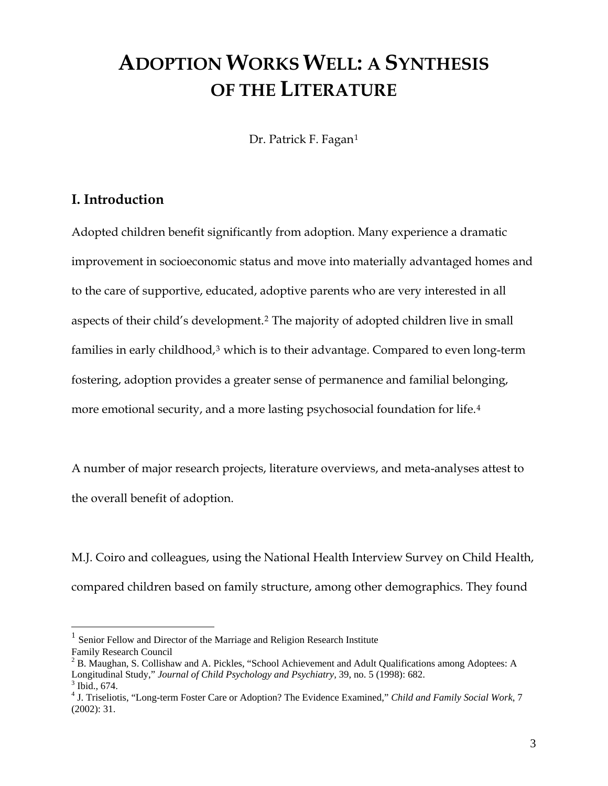## **ADOPTION WORKS WELL: A SYNTHESIS OF THE LITERATURE**

Dr. Patrick F. Fagan<sup>[1](#page-2-0)</sup>

## **I. Introduction**

 $\overline{a}$ 

Adopted children benefit significantly from adoption. Many experience a dramatic improvement in socioeconomic status and move into materially advantaged homes and to the care of supportive, educated, adoptive parents who are very interested in all aspects of their child's development.[2](#page-2-1) The majority of adopted children live in small families in early childhood, $3$  which is to their advantage. Compared to even long-term fostering, adoption provides a greater sense of permanence and familial belonging, more emotional security, and a more lasting psychosocial foundation for life.[4](#page-2-3)

A number of major research projects, literature overviews, and meta-analyses attest to the overall benefit of adoption.

M.J. Coiro and colleagues, using the National Health Interview Survey on Child Health, compared children based on family structure, among other demographics. They found

<span id="page-2-0"></span><sup>1</sup> Senior Fellow and Director of the Marriage and Religion Research Institute Family Research Council

<span id="page-2-1"></span> $2^2$  B. Maughan, S. Collishaw and A. Pickles, "School Achievement and Adult Qualifications among Adoptees: A Longitudinal Study," *Journal of Child Psychology and Psychiatry,* 39, no. 5 (1998): 682. 3  $3$  Ibid., 674.

<span id="page-2-3"></span><span id="page-2-2"></span><sup>4</sup> J. Triseliotis, "Long-term Foster Care or Adoption? The Evidence Examined," *Child and Family Social Work*, 7 (2002): 31.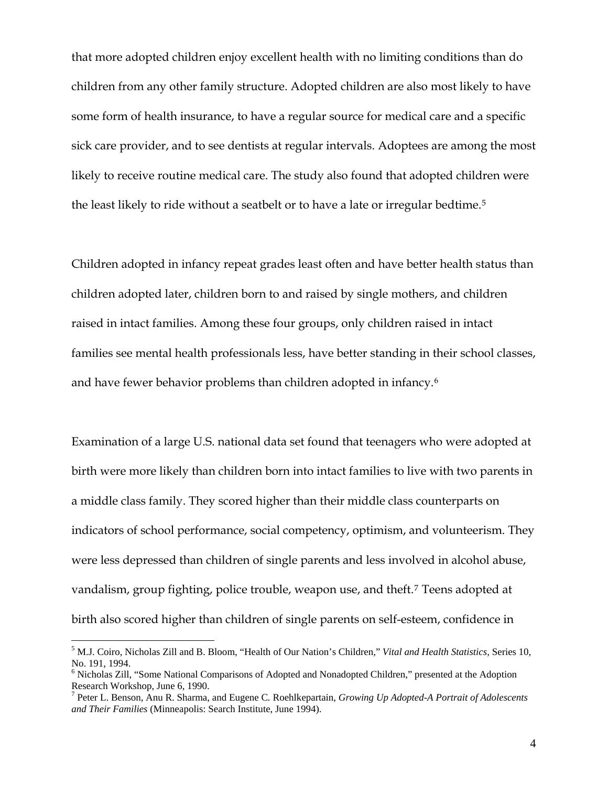that more adopted children enjoy excellent health with no limiting conditions than do children from any other family structure. Adopted children are also most likely to have some form of health insurance, to have a regular source for medical care and a specific sick care provider, and to see dentists at regular intervals. Adoptees are among the most likely to receive routine medical care. The study also found that adopted children were the least likely to ride without a seatbelt or to have a late or irregular bedtime.<sup>[5](#page-3-0)</sup>

Children adopted in infancy repeat grades least often and have better health status than children adopted later, children born to and raised by single mothers, and children raised in intact families. Among these four groups, only children raised in intact families see mental health professionals less, have better standing in their school classes, and have fewer behavior problems than children adopted in infancy.[6](#page-3-1)

Examination of a large U.S. national data set found that teenagers who were adopted at birth were more likely than children born into intact families to live with two parents in a middle class family. They scored higher than their middle class counterparts on indicators of school performance, social competency, optimism, and volunteerism. They were less depressed than children of single parents and less involved in alcohol abuse, vandalism, group fighting, police trouble, weapon use, and theft.[7](#page-3-2) Teens adopted at birth also scored higher than children of single parents on self-esteem, confidence in

<span id="page-3-0"></span><sup>5</sup> M.J. Coiro, Nicholas Zill and B. Bloom, "Health of Our Nation's Children," *Vital and Health Statistics*, Series 10, No. 191, 1994.

<span id="page-3-1"></span><sup>&</sup>lt;sup>6</sup> Nicholas Zill, "Some National Comparisons of Adopted and Nonadopted Children," presented at the Adoption Research Workshop, June 6, 1990.

<span id="page-3-2"></span><sup>7</sup> Peter L. Benson, Anu R. Sharma, and Eugene C*.* Roehlkepartain, *Growing Up Adopted-A Portrait of Adolescents and Their Families* (Minneapolis: Search Institute, June 1994).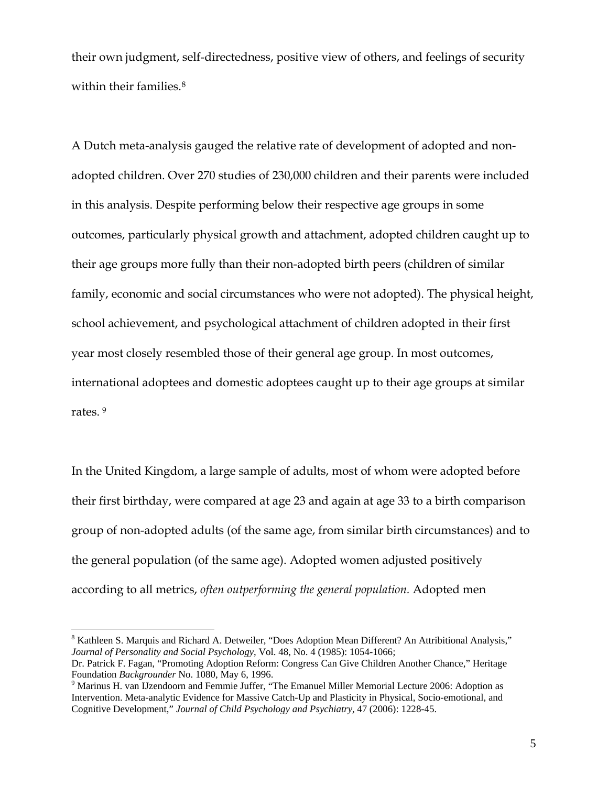their own judgment, self-directedness, positive view of others, and feelings of security within their families.<sup>[8](#page-4-0)</sup>

A Dutch meta-analysis gauged the relative rate of development of adopted and nonadopted children. Over 270 studies of 230,000 children and their parents were included in this analysis. Despite performing below their respective age groups in some outcomes, particularly physical growth and attachment, adopted children caught up to their age groups more fully than their non-adopted birth peers (children of similar family, economic and social circumstances who were not adopted). The physical height, school achievement, and psychological attachment of children adopted in their first year most closely resembled those of their general age group. In most outcomes, international adoptees and domestic adoptees caught up to their age groups at similar rates. [9](#page-4-1)

In the United Kingdom, a large sample of adults, most of whom were adopted before their first birthday, were compared at age 23 and again at age 33 to a birth comparison group of non-adopted adults (of the same age, from similar birth circumstances) and to the general population (of the same age). Adopted women adjusted positively according to all metrics, *often outperforming the general population.* Adopted men

<span id="page-4-0"></span><sup>&</sup>lt;sup>8</sup> Kathleen S. Marquis and Richard A. Detweiler, "Does Adoption Mean Different? An Attribitional Analysis," *Journal of Personality and Social Psychology*, Vol. 48, No. 4 (1985): 1054-1066;

Dr. Patrick F. Fagan, "Promoting Adoption Reform: Congress Can Give Children Another Chance," Heritage Foundation Backgrounder No. 1080, May 6, 1996.

<span id="page-4-1"></span><sup>&</sup>lt;sup>9</sup> Marinus H. van IJzendoorn and Femmie Juffer, "The Emanuel Miller Memorial Lecture 2006: Adoption as Intervention. Meta-analytic Evidence for Massive Catch-Up and Plasticity in Physical, Socio-emotional, and Cognitive Development," *Journal of Child Psychology and Psychiatry,* 47 (2006): 1228-45.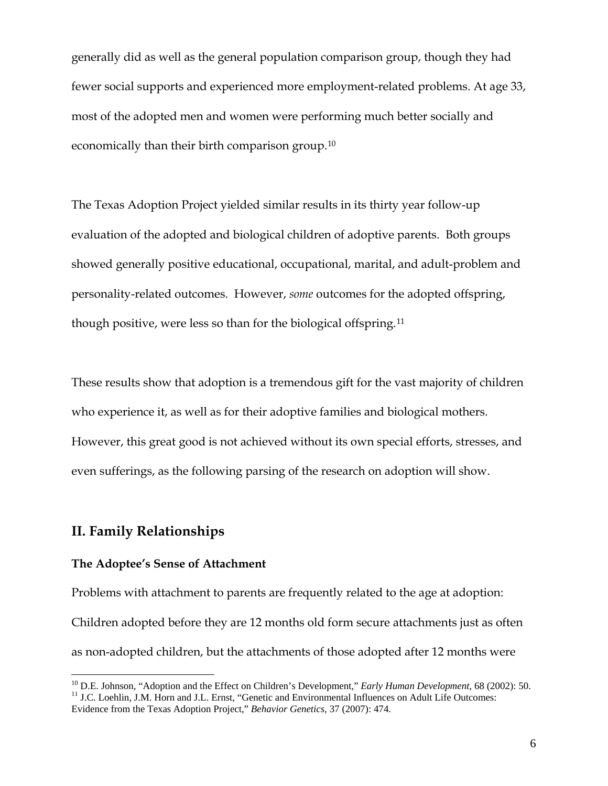generally did as well as the general population comparison group, though they had fewer social supports and experienced more employment-related problems. At age 33, most of the adopted men and women were performing much better socially and economically than their birth comparison group.[10](#page-5-0)

The Texas Adoption Project yielded similar results in its thirty year follow-up evaluation of the adopted and biological children of adoptive parents. Both groups showed generally positive educational, occupational, marital, and adult-problem and personality-related outcomes. However, *some* outcomes for the adopted offspring, though positive, were less so than for the biological offspring.[11](#page-5-1)

These results show that adoption is a tremendous gift for the vast majority of children who experience it, as well as for their adoptive families and biological mothers. However, this great good is not achieved without its own special efforts, stresses, and even sufferings, as the following parsing of the research on adoption will show.

## **II. Family Relationships**

 $\overline{a}$ 

### **The Adoptee's Sense of Attachment**

Problems with attachment to parents are frequently related to the age at adoption: Children adopted before they are 12 months old form secure attachments just as often as non-adopted children, but the attachments of those adopted after 12 months were

<span id="page-5-0"></span><sup>&</sup>lt;sup>10</sup> D.E. Johnson, "Adoption and the Effect on Children's Development," *Early Human Development*, 68 (2002): 50.<br><sup>11</sup> J.C. Loehlin, J.M. Horn and J.L. Ernst, "Genetic and Environmental Influences on Adult Life Outcomes:

<span id="page-5-1"></span>Evidence from the Texas Adoption Project," *Behavior Genetics,* 37 (2007): 474.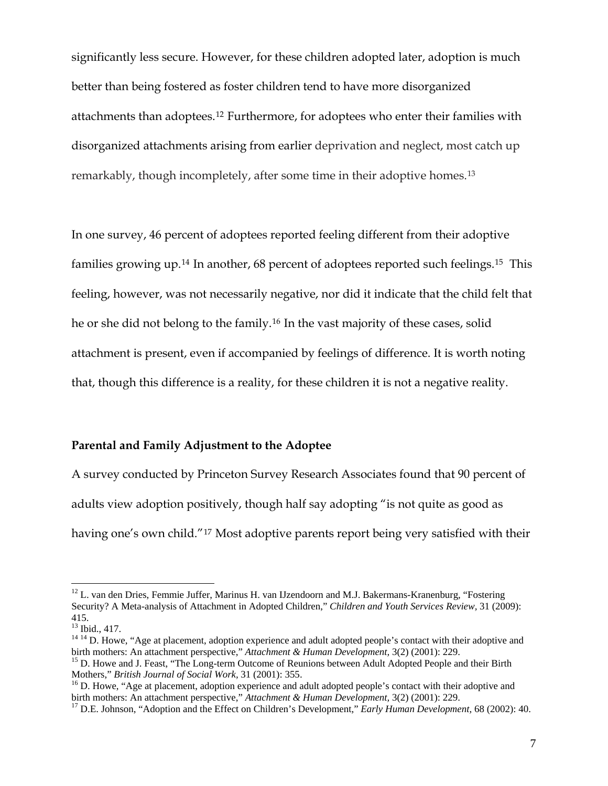significantly less secure. However, for these children adopted later, adoption is much better than being fostered as foster children tend to have more disorganized attachments than adoptees.[12](#page-6-0) Furthermore, for adoptees who enter their families with disorganized attachments arising from earlier deprivation and neglect, most catch up remarkably, though incompletely, after some time in their adoptive homes.[13](#page-6-1)

In one survey, 46 percent of adoptees reported feeling different from their adoptive families growing up.[14](#page-6-2) In another, 68 percent of adoptees reported such feelings.[15](#page-6-3) This feeling, however, was not necessarily negative, nor did it indicate that the child felt that he or she did not belong to the family.[16](#page-6-4) In the vast majority of these cases, solid attachment is present, even if accompanied by feelings of difference. It is worth noting that, though this difference is a reality, for these children it is not a negative reality.

#### **Parental and Family Adjustment to the Adoptee**

A survey conducted by Princeton Survey Research Associates found that 90 percent of adults view adoption positively, though half say adopting "is not quite as good as having one's own child."[17](#page-6-5) Most adoptive parents report being very satisfied with their

<span id="page-6-0"></span> $12$  L. van den Dries, Femmie Juffer, Marinus H. van IJzendoorn and M.J. Bakermans-Kranenburg, "Fostering Security? A Meta-analysis of Attachment in Adopted Children," *Children and Youth Services Review,* 31 (2009): 415.

<span id="page-6-1"></span><sup>13</sup> Ibid., 417.

<span id="page-6-2"></span> $14^{14}$  D. Howe, "Age at placement, adoption experience and adult adopted people's contact with their adoptive and

<span id="page-6-3"></span>birth mothers: An attachment perspective," *Attachment & Human Development*, 3(2) (2001): 229.<br><sup>15</sup> D. Howe and J. Feast, "The Long-term Outcome of Reunions between Adult Adopted People and their Birth<br>Mothers," *British J* 

<span id="page-6-4"></span><sup>&</sup>lt;sup>16</sup> D. Howe, "Age at placement, adoption experience and adult adopted people's contact with their adoptive and birth mothers: An attachment perspective," *Attachment & Human Development,* 3(2) (2001): 229. 17 D.E. Johnson, "Adoption and the Effect on Children's Development," *Early Human Development,* 68 (2002): 40.

<span id="page-6-5"></span>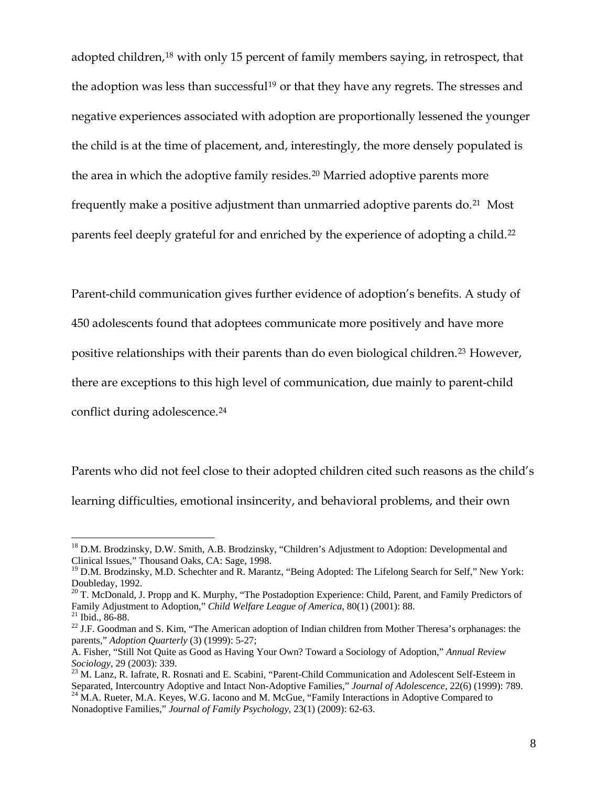adopted children,<sup>[18](#page-7-0)</sup> with only 15 percent of family members saying, in retrospect, that the adoption was less than successful<sup>[19](#page-7-1)</sup> or that they have any regrets. The stresses and negative experiences associated with adoption are proportionally lessened the younger the child is at the time of placement, and, interestingly, the more densely populated is the area in which the adoptive family resides.<sup>[20](#page-7-2)</sup> Married adoptive parents more frequently make a positive adjustment than unmarried adoptive parents do.<sup>[21](#page-7-3)</sup> Most parents feel deeply grateful for and enriched by the experience of adopting a child.[22](#page-7-4)

Parent-child communication gives further evidence of adoption's benefits. A study of

450 adolescents found that adoptees communicate more positively and have more

positive relationships with their parents than do even biological children.<sup>[23](#page-7-5)</sup> However,

there are exceptions to this high level of communication, due mainly to parent-child

conflict during adolescence.<sup>[24](#page-7-6)</sup>

Parents who did not feel close to their adopted children cited such reasons as the child's learning difficulties, emotional insincerity, and behavioral problems, and their own

<span id="page-7-0"></span><sup>&</sup>lt;sup>18</sup> D.M. Brodzinsky, D.W. Smith, A.B. Brodzinsky, "Children's Adjustment to Adoption: Developmental and Clinical Issues," Thousand Oaks, CA: Sage, 1998.

<span id="page-7-1"></span><sup>&</sup>lt;sup>19</sup> D.M. Brodzinsky, M.D. Schechter and R. Marantz, "Being Adopted: The Lifelong Search for Self," New York: Doubleday, 1992.

<span id="page-7-2"></span><sup>&</sup>lt;sup>20</sup> T. McDonald, J. Propp and K. Murphy, "The Postadoption Experience: Child, Parent, and Family Predictors of Family Adjustment to Adoption," *Child Welfare League of America*, 80(1) (2001): 88. 21 Ibid., 86-88.

<span id="page-7-3"></span>

<span id="page-7-4"></span><sup>&</sup>lt;sup>22</sup> J.F. Goodman and S. Kim, "The American adoption of Indian children from Mother Theresa's orphanages: the parents," *Adoption Quarterly* (3) (1999): 5-27;

A. Fisher, "Still Not Quite as Good as Having Your Own? Toward a Sociology of Adoption," *Annual Review Sociology*, 29 (2003): 339. 23 M. Lanz, R. Iafrate, R. Rosnati and E. Scabini, "Parent-Child Communication and Adolescent Self-Esteem in

<span id="page-7-6"></span><span id="page-7-5"></span>Separated, Intercountry Adoptive and Intact Non-Adoptive Families," *Journal of Adolescence*, 22(6) (1999): 789.<br><sup>24</sup> M.A. Rueter, M.A. Keyes, W.G. Iacono and M. McGue, "Family Interactions in Adoptive Compared to Nonadoptive Families," *Journal of Family Psychology,* 23(1) (2009): 62-63.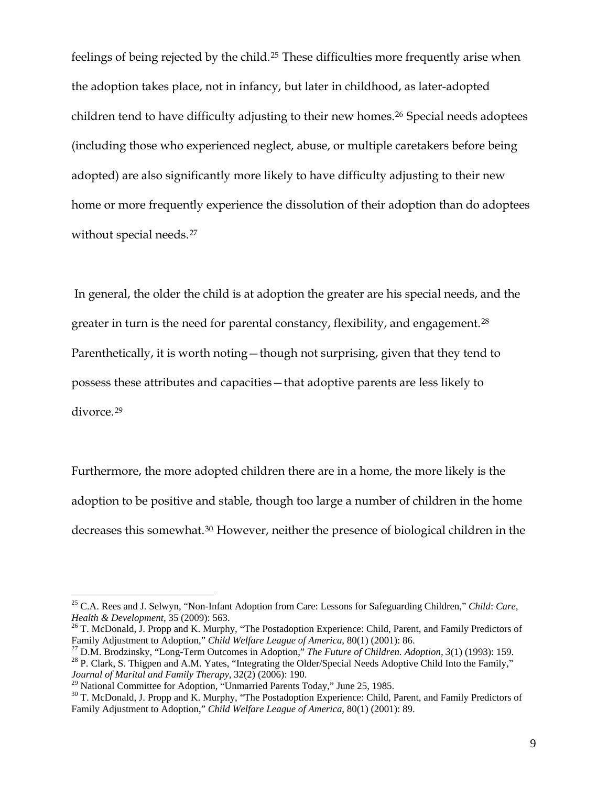feelings of being rejected by the child.[25](#page-8-0) These difficulties more frequently arise when the adoption takes place, not in infancy, but later in childhood, as later-adopted children tend to have difficulty adjusting to their new homes.<sup>[26](#page-8-1)</sup> Special needs adoptees (including those who experienced neglect, abuse, or multiple caretakers before being adopted) are also significantly more likely to have difficulty adjusting to their new home or more frequently experience the dissolution of their adoption than do adoptees without special needs.<sup>[27](#page-8-2)</sup>

 In general, the older the child is at adoption the greater are his special needs, and the greater in turn is the need for parental constancy, flexibility, and engagement.[28](#page-8-3) Parenthetically, it is worth noting - though not surprising, given that they tend to possess these attributes and capacities—that adoptive parents are less likely to divorce.<sup>[29](#page-8-4)</sup>

Furthermore, the more adopted children there are in a home, the more likely is the adoption to be positive and stable, though too large a number of children in the home decreases this somewhat.[30](#page-8-5) However, neither the presence of biological children in the

<span id="page-8-0"></span><sup>25</sup> C.A. Rees and J. Selwyn, "Non-Infant Adoption from Care: Lessons for Safeguarding Children," *Child*: *Care,* 

<span id="page-8-1"></span><sup>&</sup>lt;sup>26</sup> T. McDonald, J. Propp and K. Murphy, "The Postadoption Experience: Child, Parent, and Family Predictors of Family Adjustment to Adoption," Child Welfare League of America, 80(1) (2001): 86.

<span id="page-8-2"></span><sup>&</sup>lt;sup>27</sup> D.M. Brodzinsky, "Long-Term Outcomes in Adoption," *The Future of Children. Adoption, 3*(1) (1993): 159.<br><sup>28</sup> P. Clark, S. Thigpen and A.M. Yates, "Integrating the Older/Special Needs Adoptive Child Into the Family,"

<span id="page-8-3"></span>*Journal of Marital and Family Therapy, 32(2) (2006): 190.*<br><sup>29</sup> National Committee for Adoption, "Unmarried Parents Today," June 25, 1985.

<span id="page-8-4"></span>

<span id="page-8-5"></span><sup>&</sup>lt;sup>30</sup> T. McDonald, J. Propp and K. Murphy, "The Postadoption Experience: Child, Parent, and Family Predictors of Family Adjustment to Adoption," *Child Welfare League of America*, 80(1) (2001): 89.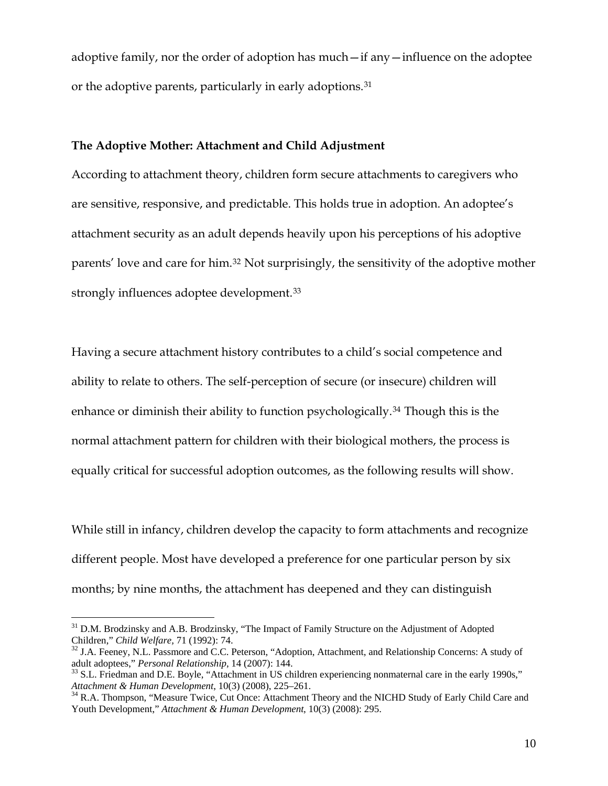adoptive family, nor the order of adoption has much—if any—influence on the adoptee or the adoptive parents, particularly in early adoptions.[31](#page-9-0)

#### **The Adoptive Mother: Attachment and Child Adjustment**

According to attachment theory, children form secure attachments to caregivers who are sensitive, responsive, and predictable. This holds true in adoption. An adoptee's attachment security as an adult depends heavily upon his perceptions of his adoptive parents' love and care for him.[32](#page-9-1) Not surprisingly, the sensitivity of the adoptive mother strongly influences adoptee development.<sup>[33](#page-9-2)</sup>

Having a secure attachment history contributes to a child's social competence and ability to relate to others. The self-perception of secure (or insecure) children will enhance or diminish their ability to function psychologically.[34](#page-9-3) Though this is the normal attachment pattern for children with their biological mothers, the process is equally critical for successful adoption outcomes, as the following results will show.

While still in infancy, children develop the capacity to form attachments and recognize different people. Most have developed a preference for one particular person by six months; by nine months, the attachment has deepened and they can distinguish

<span id="page-9-0"></span> $31$  D.M. Brodzinsky and A.B. Brodzinsky, "The Impact of Family Structure on the Adjustment of Adopted Children," Child Welfare, 71 (1992): 74.

<span id="page-9-1"></span><sup>&</sup>lt;sup>32</sup> J.A. Feeney, N.L. Passmore and C.C. Peterson, "Adoption, Attachment, and Relationship Concerns: A study of adult adoptees," *Personal Relationship*, 14 (2007): 144.

<span id="page-9-2"></span><sup>&</sup>lt;sup>33</sup> S.L. Friedman and D.E. Boyle, "Attachment in US children experiencing nonmaternal care in the early 1990s," *Attachment & Human Development*, 10(3) (2008), 225–261. 34 R.A. Thompson, "Measure Twice, Cut Once: Attachment Theory and the NICHD Study of Early Child Care and

<span id="page-9-3"></span>Youth Development," *Attachment & Human Development*, 10(3) (2008): 295.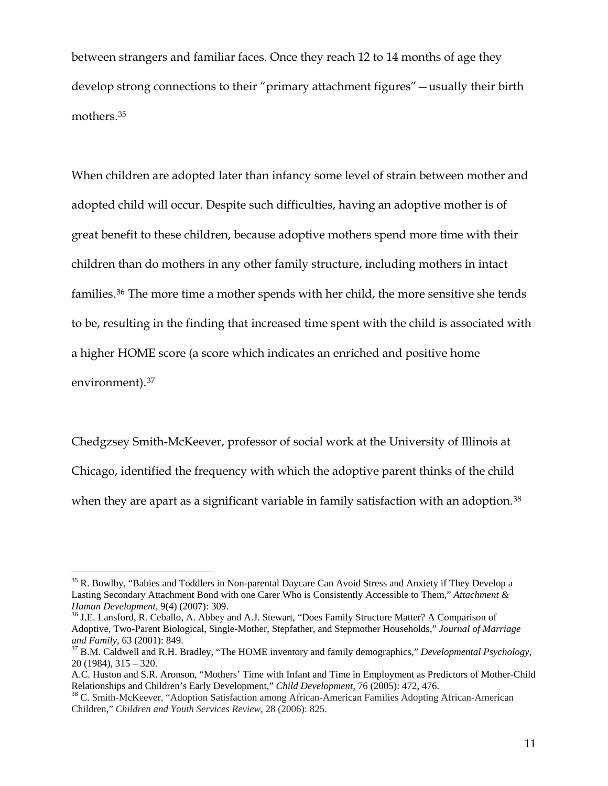between strangers and familiar faces. Once they reach 12 to 14 months of age they develop strong connections to their "primary attachment figures"—usually their birth mothers.[35](#page-10-0)

When children are adopted later than infancy some level of strain between mother and adopted child will occur. Despite such difficulties, having an adoptive mother is of great benefit to these children, because adoptive mothers spend more time with their children than do mothers in any other family structure, including mothers in intact families.[36](#page-10-1) The more time a mother spends with her child, the more sensitive she tends to be, resulting in the finding that increased time spent with the child is associated with a higher HOME score (a score which indicates an enriched and positive home environment).[37](#page-10-2)

Chedgzsey Smith-McKeever, professor of social work at the University of Illinois at Chicago, identified the frequency with which the adoptive parent thinks of the child when they are apart as a significant variable in family satisfaction with an adoption.<sup>[38](#page-10-3)</sup>

<span id="page-10-0"></span><sup>&</sup>lt;sup>35</sup> R. Bowlby, "Babies and Toddlers in Non-parental Daycare Can Avoid Stress and Anxiety if They Develop a Lasting Secondary Attachment Bond with one Carer Who is Consistently Accessible to Them," *Attachment & Human Development*, 9(4) (2007): 309.<br><sup>36</sup> J.E. Lansford, R. Ceballo, A. Abbey and A.J. Stewart, "Does Family Structure Matter? A Comparison of

<span id="page-10-1"></span>Adoptive, Two-Parent Biological, Single-Mother, Stepfather, and Stepmother Households," *Journal of Marriage and Family*, 63 (2001): 849.<br><sup>37</sup> B.M. Caldwell and R.H. Bradley, "The HOME inventory and family demographics," *Developmental Psychology*,

<span id="page-10-2"></span><sup>20 (1984), 315 – 320.</sup> 

A.C. Huston and S.R. Aronson, "Mothers' Time with Infant and Time in Employment as Predictors of Mother-Child Relationships and Children's Early Development," *Child Development*, 76 (2005): 472, 476.<br><sup>38</sup> C. Smith-McKeever, "Adoption Satisfaction among African-American Families Adopting African-American

<span id="page-10-3"></span>Children," *Children and Youth Services Review,* 28 (2006): 825.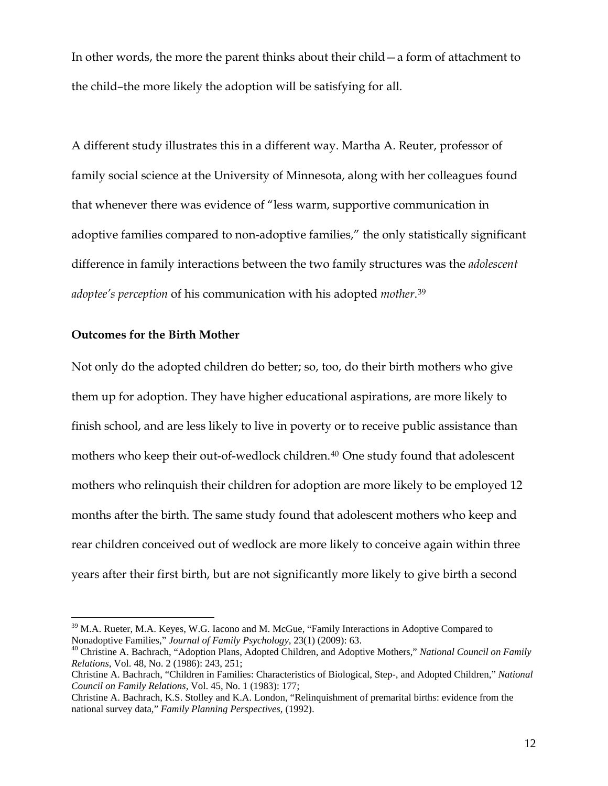In other words, the more the parent thinks about their child—a form of attachment to the child–the more likely the adoption will be satisfying for all.

A different study illustrates this in a different way. Martha A. Reuter, professor of family social science at the University of Minnesota, along with her colleagues found that whenever there was evidence of "less warm, supportive communication in adoptive families compared to non-adoptive families," the only statistically significant difference in family interactions between the two family structures was the *adolescent adoptee's perception* of his communication with his adopted *mother*.[39](#page-11-0)

#### **Outcomes for the Birth Mother**

 $\overline{a}$ 

Not only do the adopted children do better; so, too, do their birth mothers who give them up for adoption. They have higher educational aspirations, are more likely to finish school, and are less likely to live in poverty or to receive public assistance than mothers who keep their out-of-wedlock children.<sup>[40](#page-11-1)</sup> One study found that adolescent mothers who relinquish their children for adoption are more likely to be employed 12 months after the birth. The same study found that adolescent mothers who keep and rear children conceived out of wedlock are more likely to conceive again within three years after their first birth, but are not significantly more likely to give birth a second

<span id="page-11-0"></span> $39$  M.A. Rueter, M.A. Keyes, W.G. Iacono and M. McGue, "Family Interactions in Adoptive Compared to Nonadoptive Families," *Journal of Family Psychology,* 23(1) (2009): 63.<br><sup>40</sup> Christine A. Bachrach, "Adoption Plans, Adopted Children, and Adoptive Mothers," *National Council on Family* 

<span id="page-11-1"></span>*Relations,* Vol. 48, No. 2 (1986): 243, 251;

Christine A. Bachrach, "Children in Families: Characteristics of Biological, Step-, and Adopted Children," *National Council on Family Relations,* Vol. 45, No. 1 (1983): 177;

Christine A. Bachrach, K.S. Stolley and K.A. London, "Relinquishment of premarital births: evidence from the national survey data," *Family Planning Perspectives*, (1992).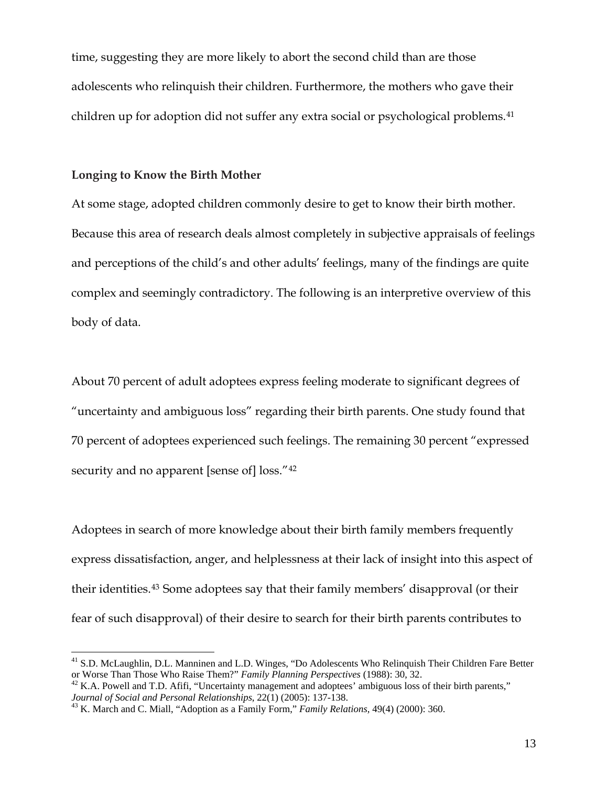time, suggesting they are more likely to abort the second child than are those adolescents who relinquish their children. Furthermore, the mothers who gave their children up for adoption did not suffer any extra social or psychological problems.[41](#page-12-0)

#### **Longing to Know the Birth Mother**

 $\overline{a}$ 

At some stage, adopted children commonly desire to get to know their birth mother. Because this area of research deals almost completely in subjective appraisals of feelings and perceptions of the child's and other adults' feelings, many of the findings are quite complex and seemingly contradictory. The following is an interpretive overview of this body of data.

About 70 percent of adult adoptees express feeling moderate to significant degrees of "uncertainty and ambiguous loss" regarding their birth parents. One study found that 70 percent of adoptees experienced such feelings. The remaining 30 percent "expressed security and no apparent [sense of] loss."<sup>[42](#page-12-1)</sup>

Adoptees in search of more knowledge about their birth family members frequently express dissatisfaction, anger, and helplessness at their lack of insight into this aspect of their identities.[43](#page-12-2) Some adoptees say that their family members' disapproval (or their fear of such disapproval) of their desire to search for their birth parents contributes to

<span id="page-12-0"></span><sup>&</sup>lt;sup>41</sup> S.D. McLaughlin, D.L. Manninen and L.D. Winges, "Do Adolescents Who Relinquish Their Children Fare Better or Worse Than Those Who Raise Them?" *Family Planning Perspectives* (1988): 30, 32.

<span id="page-12-1"></span><sup>&</sup>lt;sup>42</sup> K.A. Powell and T.D. Afifi, "Uncertainty management and adoptees' ambiguous loss of their birth parents," *Journal of Social and Personal Relationships*, 22(1) (2005): 137-138. 43 K. March and C. Miall, "Adoption as a Family Form," *Family Relations,* 49(4) (2000): 360.

<span id="page-12-2"></span>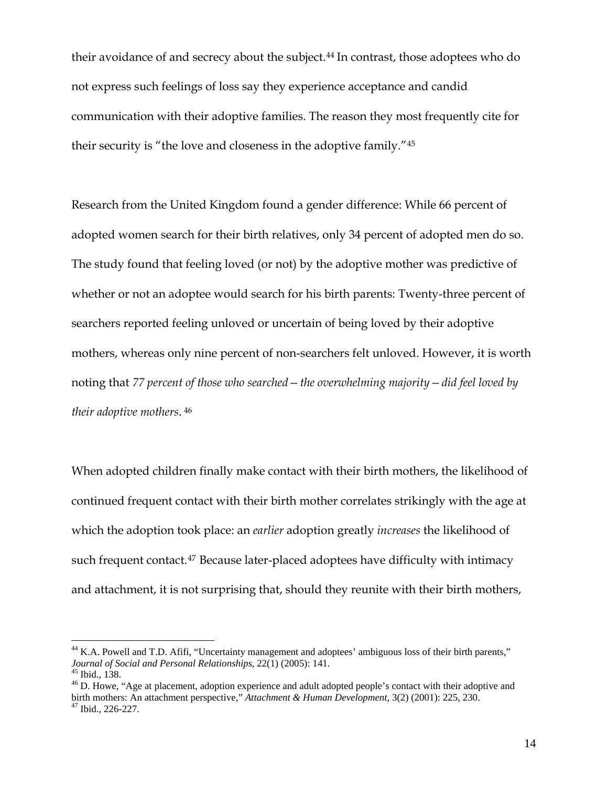their avoidance of and secrecy about the subject.<sup>[44](#page-13-0)</sup> In contrast, those adoptees who do not express such feelings of loss say they experience acceptance and candid communication with their adoptive families. The reason they most frequently cite for their security is "the love and closeness in the adoptive family."[45](#page-13-1)

Research from the United Kingdom found a gender difference: While 66 percent of adopted women search for their birth relatives, only 34 percent of adopted men do so. The study found that feeling loved (or not) by the adoptive mother was predictive of whether or not an adoptee would search for his birth parents: Twenty-three percent of searchers reported feeling unloved or uncertain of being loved by their adoptive mothers, whereas only nine percent of non-searchers felt unloved. However, it is worth noting that *77 percent of those who searched—the overwhelming majority—did feel loved by their adoptive mothers*. [46](#page-13-2)

When adopted children finally make contact with their birth mothers, the likelihood of continued frequent contact with their birth mother correlates strikingly with the age at which the adoption took place: an *earlier* adoption greatly *increases* the likelihood of such frequent contact.<sup>[47](#page-13-3)</sup> Because later-placed adoptees have difficulty with intimacy and attachment, it is not surprising that, should they reunite with their birth mothers,

<span id="page-13-0"></span><sup>&</sup>lt;sup>44</sup> K.A. Powell and T.D. Afifi, "Uncertainty management and adoptees' ambiguous loss of their birth parents," *Journal of Social and Personal Relationships*, 22(1) (2005): 141.<br><sup>45</sup> Ibid., 138.

<span id="page-13-3"></span><span id="page-13-2"></span><span id="page-13-1"></span><sup>&</sup>lt;sup>46</sup> D. Howe, "Age at placement, adoption experience and adult adopted people's contact with their adoptive and birth mothers: An attachment perspective," *Attachment & Human Development,* 3(2) (2001): 225, 230. 47 Ibid., 226-227.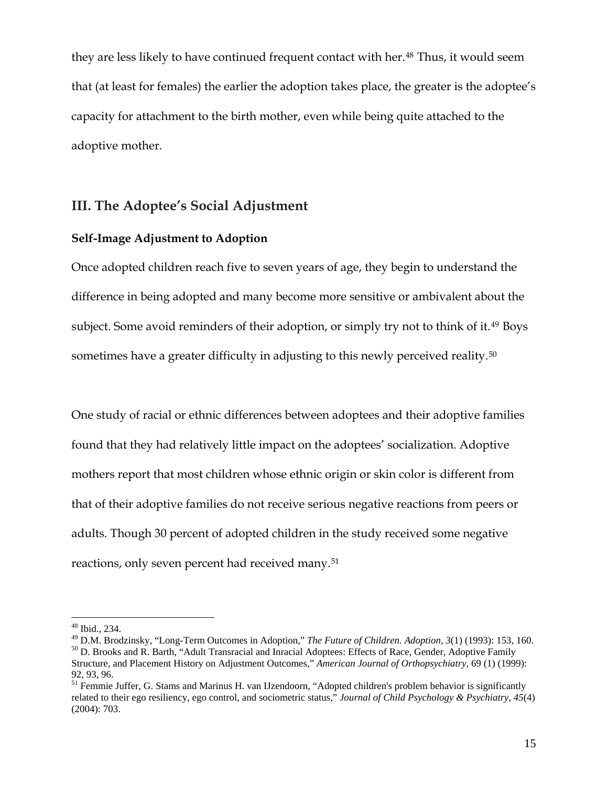that (at least for females) the earlier the adoption takes place, the greater is the adoptee's they are less likely to have continued frequent contact with her.<sup>[48](#page-14-0)</sup> Thus, it would seem capacity for attachment to the birth mother, even while being quite attached to the adoptive mother.

## **III. The Adoptee's Social Adjustment**

#### **Self-Image Adjustment to Adoption**

Once adopted children reach five to seven years of age, they begin to understand the difference in being adopted and many become more sensitive or ambivalent about the subject. Some avoid reminders of their adoption, or simply try not to think of it.<sup>[49](#page-14-1)</sup> Boys sometimes have a greater difficulty in adjusting to this newly perceived reality.<sup>[50](#page-14-2)</sup>

One study of racial or ethnic differences between adoptees and their adoptive families found that they had relatively little impact on the adoptees' socialization. Adoptive mothers report that most children whose ethnic origin or skin color is different from that of their adoptive families do not receive serious negative reactions from peers or adults. Though 30 percent of adopted children in the study received some negative reactions, only seven percent had received many.[51](#page-14-3)

1

<sup>48</sup> Ibid., 234.

<span id="page-14-2"></span><span id="page-14-1"></span><span id="page-14-0"></span><sup>&</sup>lt;sup>49</sup> D.M. Brodzinsky, "Long-Term Outcomes in Adoption," *The Future of Children. Adoption*,  $3(1)$  (1993): 153, 160.<br><sup>50</sup> D. Brooks and R. Barth, "Adult Transracial and Inracial Adoptees: Effects of Race, Gender, Adoptive Structure, and Placement History on Adjustment Outcomes," *American Journal of Orthopsychiatry,* 69 (1) (1999): 92, 93, 96.

<span id="page-14-3"></span><sup>&</sup>lt;sup>51</sup> Femmie Juffer, G. Stams and Marinus H. van IJzendoorn, "Adopted children's problem behavior is significantly related to their ego resiliency, ego control, and sociometric status," *Journal of Child Psychology & Psychiatry*, *45*(4) (2004): 703.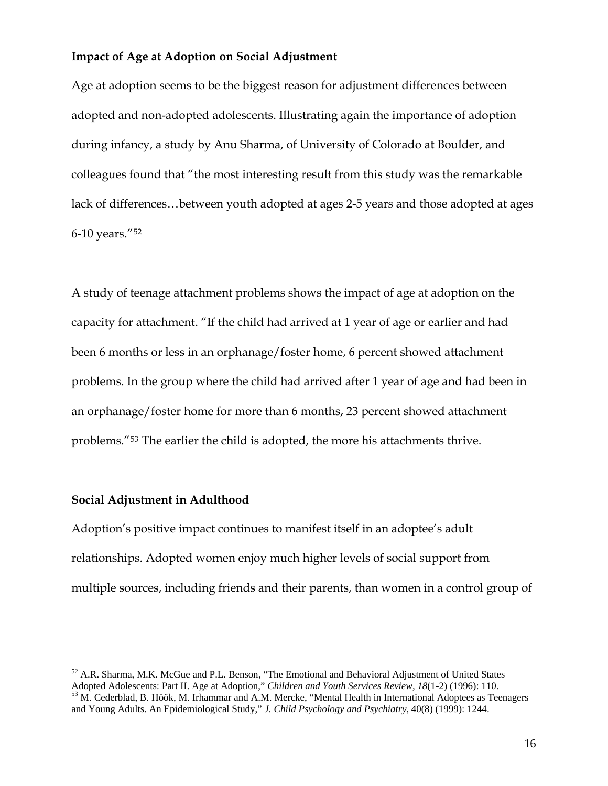## **Impact of Age at Adoption on Social Adjustment**

Age at adoption seems to be the biggest reason for adjustment differences between adopted and non-adopted adolescents. Illustrating again the importance of adoption during infancy, a study by Anu Sharma, of University of Colorado at Boulder, and colleagues found that "the most interesting result from this study was the remarkable lack of differences…between youth adopted at ages 2-5 years and those adopted at ages 6-10 years."[52](#page-15-0)

A study of teenage attachment problems shows the impact of age at adoption on the capacity for attachment. "If the child had arrived at 1 year of age or earlier and had been 6 months or less in an orphanage/foster home, 6 percent showed attachment problems. In the group where the child had arrived after 1 year of age and had been in an orphanage/foster home for more than 6 months, 23 percent showed attachment problems."[53](#page-15-1) The earlier the child is adopted, the more his attachments thrive.

#### **Social Adjustment in Adulthood**

 $\overline{a}$ 

Adoption's positive impact continues to manifest itself in an adoptee's adult relationships. Adopted women enjoy much higher levels of social support from multiple sources, including friends and their parents, than women in a control group of

<span id="page-15-1"></span><span id="page-15-0"></span> $52$  A.R. Sharma, M.K. McGue and P.L. Benson, "The Emotional and Behavioral Adjustment of United States Adopted Adolescents: Part II. Age at Adoption," *Children and Youth Services Review, 18*(1-2) (1996): 110. Adopted Adolescents: Part II. Age at Adoption," *Children and Youth Services Review, 18*(1-2) (1996): 110. 53 M. Cederblad, B. Höök, M. Irhammar and A.M. Mercke, "Mental Health in International Adoptees as Teenagers and Young Adults. An Epidemiological Study," *J. Child Psychology and Psychiatry,* 40(8) (1999): 1244.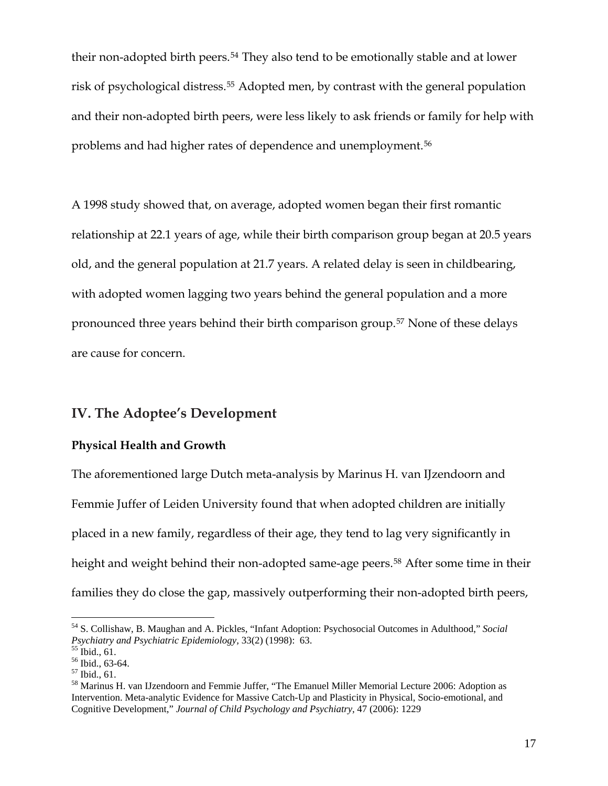their non-adopted birth peers.[54](#page-16-0) They also tend to be emotionally stable and at lower risk of psychological distress.<sup>[55](#page-16-1)</sup> Adopted men, by contrast with the general population and their non-adopted birth peers, were less likely to ask friends or family for help with problems and had higher rates of dependence and unemployment.[56](#page-16-2)

are cause for concern. A 1998 study showed that, on average, adopted women began their first romantic relationship at 22.1 years of age, while their birth comparison group began at 20.5 years old, and the general population at 21.7 years. A related delay is seen in childbearing, with adopted women lagging two years behind the general population and a more pronounced three years behind their birth comparison group.[57](#page-16-3) None of these delays

## **IV. The Adoptee's Development**

#### **Physical Health and Growth**

The aforementioned large Dutch meta-analysis by Marinus H. van IJzendoorn and Femmie Juffer of Leiden University found that when adopted children are initially placed in a new family, regardless of their age, they tend to lag very significantly in height and weight behind their non-adopted same-age peers.<sup>[58](#page-16-4)</sup> After some time in their families they do close the gap, massively outperforming their non-adopted birth peers,

<span id="page-16-0"></span><sup>54</sup> S. Collishaw, B. Maughan and A. Pickles, "Infant Adoption: Psychosocial Outcomes in Adulthood," *Social Psychiatry and Psychiatric Epidemiology,* 33(2) (1998): 63. 55 Ibid., 61.

<span id="page-16-2"></span><span id="page-16-1"></span><sup>56</sup> Ibid., 63-64.

<span id="page-16-3"></span><sup>57</sup> Ibid., 61.

<span id="page-16-4"></span><sup>58</sup> Marinus H. van IJzendoorn and Femmie Juffer, "The Emanuel Miller Memorial Lecture 2006: Adoption as Intervention. Meta-analytic Evidence for Massive Catch-Up and Plasticity in Physical, Socio-emotional, and Cognitive Development," *Journal of Child Psychology and Psychiatry,* 47 (2006): 1229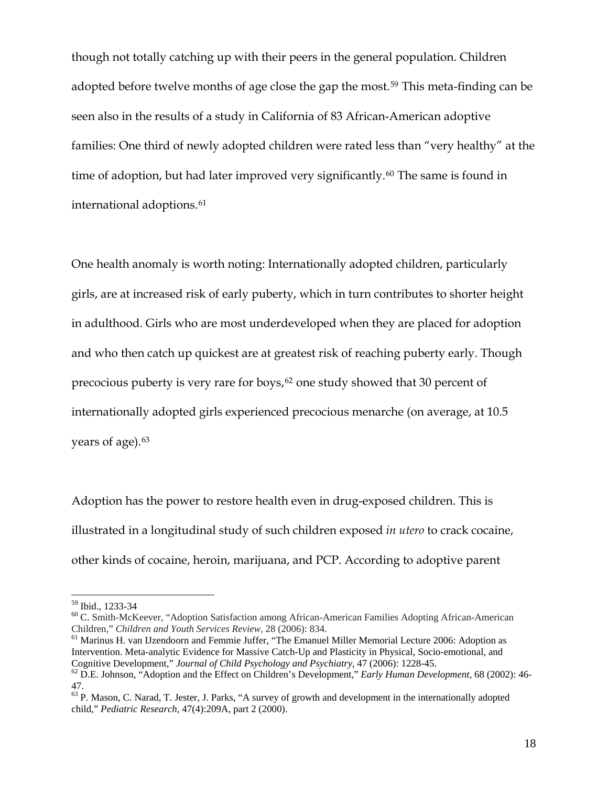though not totally catching up with their peers in the general population. Children adopted before twelve months of age close the gap the most.<sup>[59](#page-17-0)</sup> This meta-finding can be seen also in the results of a study in California of 83 African-American adoptive families: One third of newly adopted children were rated less than "very healthy" at the time of adoption, but had later improved very significantly.<sup>[60](#page-17-1)</sup> The same is found in international adoptions.<sup>[61](#page-17-2)</sup>

One health anomaly is worth noting: Internationally adopted children, particularly girls, are at increased risk of early puberty, which in turn contributes to shorter height in adulthood. Girls who are most underdeveloped when they are placed for adoption and who then catch up quickest are at greatest risk of reaching puberty early. Though precocious puberty is very rare for boys, $62$  one study showed that 30 percent of internationally adopted girls experienced precocious menarche (on average, at 10.5 years of age).<sup>[63](#page-17-4)</sup>

Adoption has the power to restore health even in drug-exposed children. This is illustrated in a longitudinal study of such children exposed *in utero* to crack cocaine, other kinds of cocaine, heroin, marijuana, and PCP. According to adoptive parent

<span id="page-17-0"></span><sup>59</sup> Ibid., 1233-34

<span id="page-17-1"></span><sup>60</sup> C. Smith-McKeever, "Adoption Satisfaction among African-American Families Adopting African-American Children," *Children and Youth Services Review,* 28 (2006): 834. 61 Marinus H. van IJzendoorn and Femmie Juffer, "The Emanuel Miller Memorial Lecture 2006: Adoption as

<span id="page-17-2"></span>Intervention. Meta-analytic Evidence for Massive Catch-Up and Plasticity in Physical, Socio-emotional, and Cognitive Development," *Journal of Child Psychology and Psychiatry, 47 (2006)*: 1228-45.<br><sup>62</sup> D.E. Johnson, "Adoption and the Effect on Children's Development," *Early Human Development*, 68 (2002): 46-

<span id="page-17-3"></span><sup>47.</sup>

<span id="page-17-4"></span><sup>&</sup>lt;sup>63</sup> P. Mason, C. Narad, T. Jester, J. Parks, "A survey of growth and development in the internationally adopted child," *Pediatric Research*, 47(4):209A, part 2 (2000).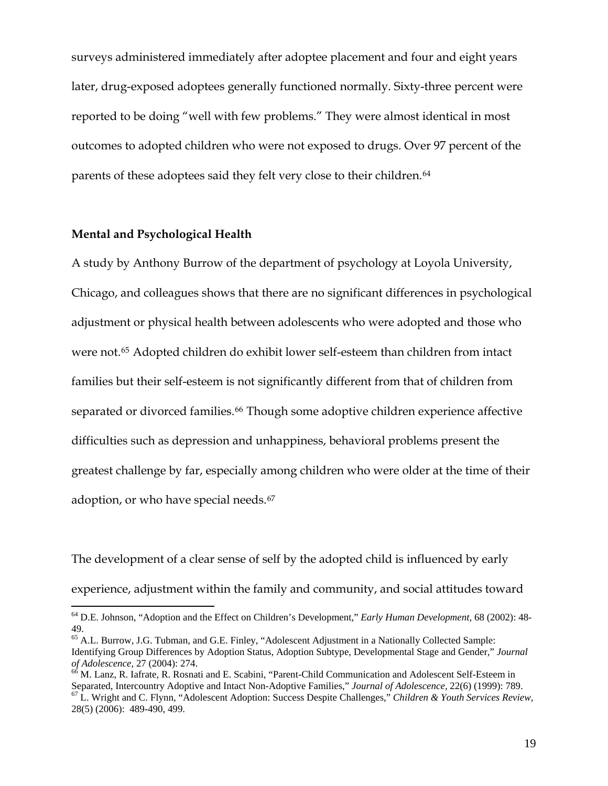surveys administered immediately after adoptee placement and four and eight years later, drug-exposed adoptees generally functioned normally. Sixty-three percent were reported to be doing "well with few problems." They were almost identical in most outcomes to adopted children who were not exposed to drugs. Over 97 percent of the parents of these adoptees said they felt very close to their children.<sup>[64](#page-18-0)</sup>

#### **Mental and Psychological Health**

 $\overline{a}$ 

A study by Anthony Burrow of the department of psychology at Loyola University, Chicago, and colleagues shows that there are no significant differences in psychological adjustment or physical health between adolescents who were adopted and those who were not.[65](#page-18-1) Adopted children do exhibit lower self-esteem than children from intact families but their self-esteem is not significantly different from that of children from separated or divorced families.<sup>[66](#page-18-2)</sup> Though some adoptive children experience affective difficulties such as depression and unhappiness, behavioral problems present the greatest challenge by far, especially among children who were older at the time of their adoption, or who have special needs.[67](#page-18-3)

The development of a clear sense of self by the adopted child is influenced by early experience, adjustment within the family and community, and social attitudes toward

<span id="page-18-0"></span><sup>64</sup> D.E. Johnson, "Adoption and the Effect on Children's Development," *Early Human Development,* 68 (2002): 48- 49.

<span id="page-18-1"></span><sup>&</sup>lt;sup>65</sup> A.L. Burrow, J.G. Tubman, and G.E. Finley, "Adolescent Adjustment in a Nationally Collected Sample: Identifying Group Differences by Adoption Status, Adoption Subtype, Developmental Stage and Gender," *Journal of Adolescence, 27 (2004): 274. of Adolescence, 27 (2004): 274. of M. Lanz, R. Iafrate, R. Rosnati and E. Scabini, "Parent-Child Communication and Adolescent Self-Esteem in* 

<span id="page-18-3"></span><span id="page-18-2"></span>Separated, Intercountry Adoptive and Intact Non-Adoptive Families," Journal of Adolescence, 22(6) (1999): 789.<br><sup>67</sup> L. Wright and C. Flynn, "Adolescent Adoption: Success Despite Challenges," Children & Youth Services Revie 28(5) (2006): 489-490, 499.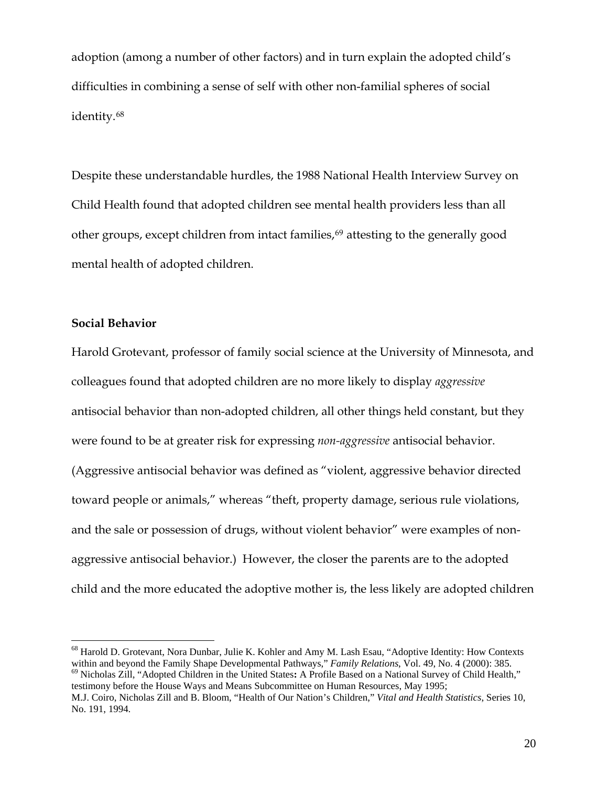adoption (among a number of other factors) and in turn explain the adopted child's difficulties in combining a sense of self with other non-familial spheres of social identity.[68](#page-19-0)

Despite these understandable hurdles, the 1988 National Health Interview Survey on Child Health found that adopted children see mental health providers less than all other groups, except children from intact families,<sup>[69](#page-19-1)</sup> attesting to the generally good mental health of adopted children.

#### **Social Behavior**

 $\overline{a}$ 

Harold Grotevant, professor of family social science at the University of Minnesota, and colleagues found that adopted children are no more likely to display *aggressive* antisocial behavior than non-adopted children, all other things held constant, but they were found to be at greater risk for expressing *non-aggressive* antisocial behavior. (Aggressive antisocial behavior was defined as "violent, aggressive behavior directed toward people or animals," whereas "theft, property damage, serious rule violations, and the sale or possession of drugs, without violent behavior" were examples of nonaggressive antisocial behavior.) However, the closer the parents are to the adopted child and the more educated the adoptive mother is, the less likely are adopted children

<span id="page-19-0"></span><sup>68</sup> Harold D. Grotevant, Nora Dunbar, Julie K. Kohler and Amy M. Lash Esau, "Adoptive Identity: How Contexts within and beyond the Family Shape Developmental Pathways," Family Relations, Vol. 49, No. 4 (2000): 385.<br><sup>69</sup> Nicholas Zill, "Adopted Children in the United States: A Profile Based on a National Survey of Child Health," testimony before the House Ways and Means Subcommittee on Human Resources, May 1995;

<span id="page-19-1"></span>M.J. Coiro, Nicholas Zill and B. Bloom, "Health of Our Nation's Children," *Vital and Health Statistics*, Series 10, No. 191, 1994.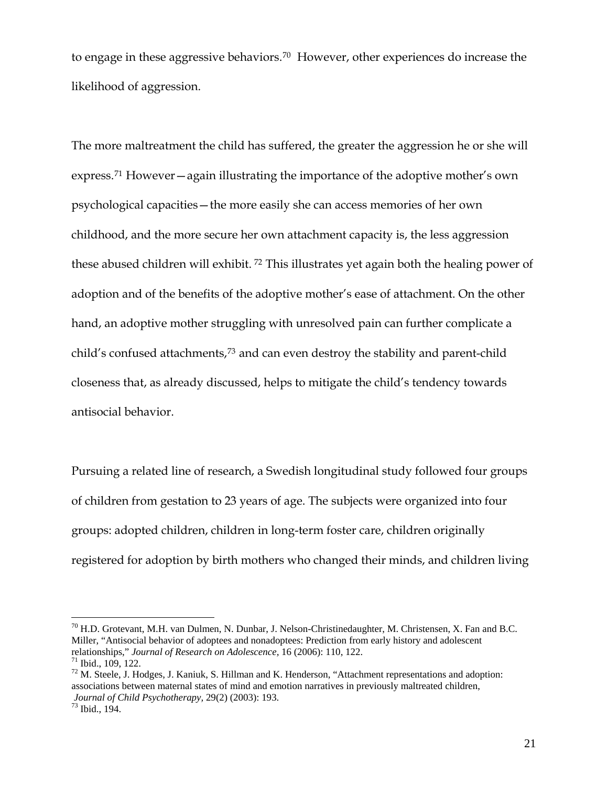to engage in these aggressive behaviors.[70](#page-20-0) However, other experiences do increase the likelihood of aggression.

The more maltreatment the child has suffered, the greater the aggression he or she will express.[71](#page-20-1) However—again illustrating the importance of the adoptive mother's own psychological capacities—the more easily she can access memories of her own childhood, and the more secure her own attachment capacity is, the less aggression these abused children will exhibit. [72](#page-20-2) This illustrates yet again both the healing power of adoption and of the benefits of the adoptive mother's ease of attachment. On the other hand, an adoptive mother struggling with unresolved pain can further complicate a child's confused attachments,[73](#page-20-3) and can even destroy the stability and parent-child closeness that, as already discussed, helps to mitigate the child's tendency towards antisocial behavior.

Pursuing a related line of research, a Swedish longitudinal study followed four groups of children from gestation to 23 years of age. The subjects were organized into four groups: adopted children, children in long-term foster care, children originally registered for adoption by birth mothers who changed their minds, and children living

<span id="page-20-0"></span><sup>70</sup> H.D. Grotevant, M.H. van Dulmen, N. Dunbar, J. Nelson-Christinedaughter, M. Christensen, X. Fan and B.C. Miller, "Antisocial behavior of adoptees and nonadoptees: Prediction from early history and adolescent relationships," *Journal of Research on Adolescence,* 16 (2006): 110, 122. 71 Ibid., 109, 122.

<span id="page-20-1"></span>

<span id="page-20-2"></span> $72$  M. Steele, J. Hodges, J. Kaniuk, S. Hillman and K. Henderson, "Attachment representations and adoption: associations between maternal states of mind and emotion narratives in previously maltreated children, *Journal of Child Psychotherapy,* 29(2) (2003): 193. 73 Ibid., 194.

<span id="page-20-3"></span>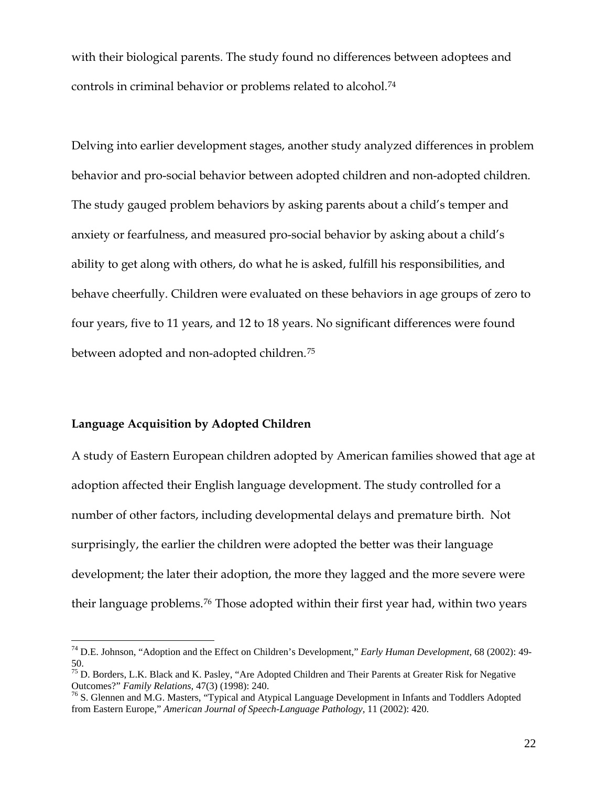with their biological parents. The study found no differences between adoptees and controls in criminal behavior or problems related to alcohol.[74](#page-21-0)

Delving into earlier development stages, another study analyzed differences in problem behavior and pro-social behavior between adopted children and non-adopted children. The study gauged problem behaviors by asking parents about a child's temper and anxiety or fearfulness, and measured pro-social behavior by asking about a child's ability to get along with others, do what he is asked, fulfill his responsibilities, and behave cheerfully. Children were evaluated on these behaviors in age groups of zero to four years, five to 11 years, and 12 to 18 years. No significant differences were found between adopted and non-adopted children.[75](#page-21-1)

#### **Language Acquisition by Adopted Children**

 $\overline{a}$ 

A study of Eastern European children adopted by American families showed that age at adoption affected their English language development. The study controlled for a number of other factors, including developmental delays and premature birth. Not surprisingly, the earlier the children were adopted the better was their language development; the later their adoption, the more they lagged and the more severe were their language problems.[76](#page-21-2) Those adopted within their first year had, within two years

<span id="page-21-0"></span><sup>74</sup> D.E. Johnson, "Adoption and the Effect on Children's Development," *Early Human Development,* 68 (2002): 49- 50.

<span id="page-21-1"></span><sup>&</sup>lt;sup>75</sup> D. Borders, L.K. Black and K. Pasley, "Are Adopted Children and Their Parents at Greater Risk for Negative Outcomes?" *Family Relations, 47(3) (1998): 240.* <br><sup>76</sup> S. Glennen and M.G. Masters, "Typical and Atypical Language Development in Infants and Toddlers Adopted

<span id="page-21-2"></span>from Eastern Europe," *American Journal of Speech-Language Pathology,* 11 (2002): 420.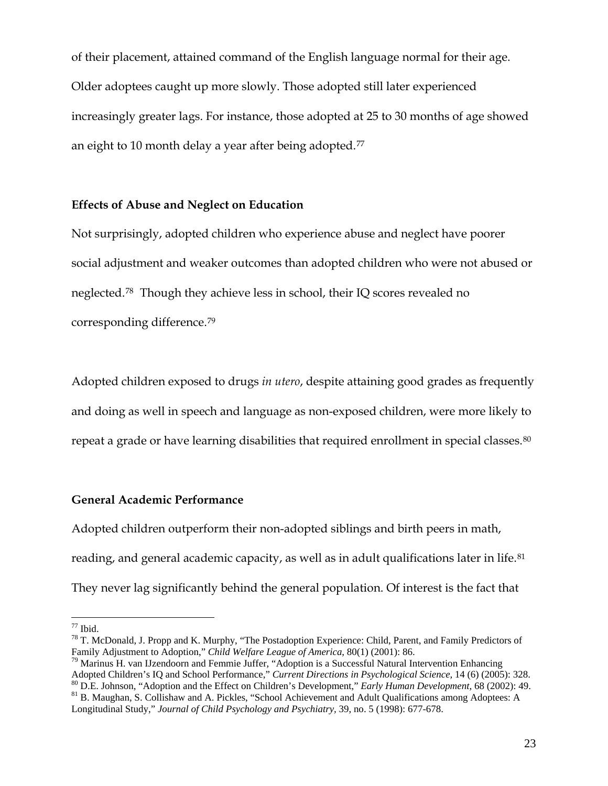of their placement, attained command of the English language normal for their age. Older adoptees caught up more slowly. Those adopted still later experienced increasingly greater lags. For instance, those adopted at 25 to 30 months of age showed an eight to 10 month delay a year after being adopted.<sup>[77](#page-22-0)</sup>

#### **Effects of Abuse and Neglect on Education**

Not surprisingly, adopted children who experience abuse and neglect have poorer social adjustment and weaker outcomes than adopted children who were not abused or neglected.[78](#page-22-1) Though they achieve less in school, their IQ scores revealed no corresponding difference.[79](#page-22-2)

Adopted children exposed to drugs *in utero*, despite attaining good grades as frequently and doing as well in speech and language as non-exposed children, were more likely to repeat a grade or have learning disabilities that required enrollment in special classes.<sup>[80](#page-22-3)</sup>

### **General Academic Performance**

Adopted children outperform their non-adopted siblings and birth peers in math, reading, and general academic capacity, as well as in adult qualifications later in life.<sup>[81](#page-22-4)</sup> They never lag significantly behind the general population. Of interest is the fact that

<span id="page-22-0"></span> $77$  Ibid.

<span id="page-22-1"></span><sup>&</sup>lt;sup>78</sup> T. McDonald, J. Propp and K. Murphy, "The Postadoption Experience: Child, Parent, and Family Predictors of Family Adjustment to Adoption," *Child Welfare League of America*, 80(1) (2001): 86. 79 Marinus H. van IJzendoorn and Femmie Juffer, "Adoption is a Successful Natural Intervention Enhancing

<span id="page-22-2"></span>Adopted Children's IQ and School Performance," Current Directions in Psychological Science, 14 (6) (2005): 328.<br><sup>80</sup> D.E. Johnson, "Adoption and the Effect on Children's Development," *Early Human Development*, 68 (2002):

<span id="page-22-4"></span><span id="page-22-3"></span>Longitudinal Study," *Journal of Child Psychology and Psychiatry,* 39, no. 5 (1998): 677-678.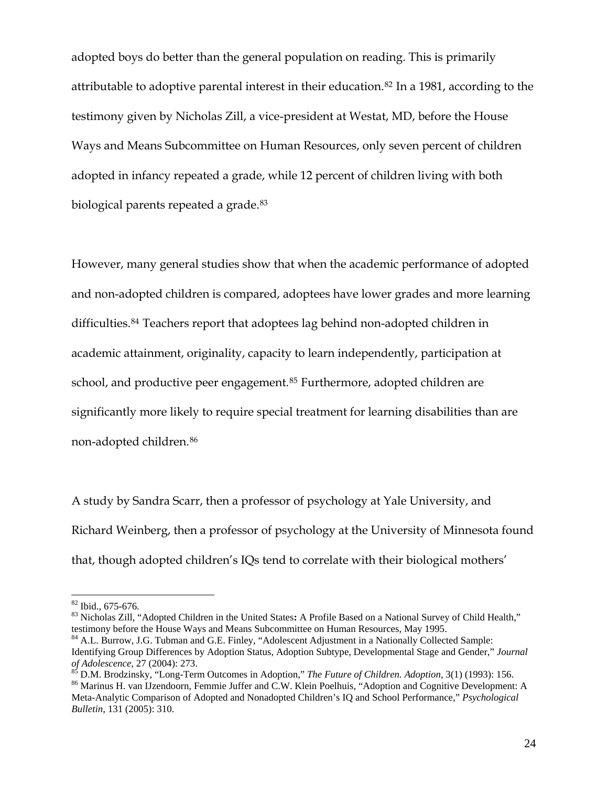adopted boys do better than the general population on reading. This is primarily attributable to adoptive parental interest in their education.[82](#page-23-0) In a 1981, according to the testimony given by Nicholas Zill, a vice-president at Westat, MD, before the House Ways and Means Subcommittee on Human Resources, only seven percent of children adopted in infancy repeated a grade, while 12 percent of children living with both biological parents repeated a grade.<sup>[83](#page-23-1)</sup>

However, many general studies show that when the academic performance of adopted and non-adopted children is compared, adoptees have lower grades and more learning difficulties.<sup>[84](#page-23-2)</sup> Teachers report that adoptees lag behind non-adopted children in academic attainment, originality, capacity to learn independently, participation at school, and productive peer engagement.<sup>[85](#page-23-3)</sup> Furthermore, adopted children are significantly more likely to require special treatment for learning disabilities than are non-adopted children.[86](#page-23-4)

A study by Sandra Scarr, then a professor of psychology at Yale University, and Richard Weinberg, then a professor of psychology at the University of Minnesota found that, though adopted children's IQs tend to correlate with their biological mothers'

<span id="page-23-0"></span> $82$  Ibid., 675-676.

<span id="page-23-1"></span><sup>83</sup> Nicholas Zill, "Adopted Children in the United States**:** A Profile Based on a National Survey of Child Health," testimony before the House Ways and Means Subcommittee on Human Resources, May 1995.

<span id="page-23-2"></span><sup>&</sup>lt;sup>84</sup> A.L. Burrow, J.G. Tubman and G.E. Finley, "Adolescent Adjustment in a Nationally Collected Sample: Identifying Group Differences by Adoption Status, Adoption Subtype, Developmental Stage and Gender," *Journal* of Adolescence, 27 (2004): 273.

<span id="page-23-4"></span><span id="page-23-3"></span> $^{85}$  D.M. Brodzinsky, "Long-Term Outcomes in Adoption," The Future of Children. Adoption, 3(1) (1993): 156.<br><sup>86</sup> Marinus H. van IJzendoorn, Femmie Juffer and C.W. Klein Poelhuis, "Adoption and Cognitive Development: A Meta-Analytic Comparison of Adopted and Nonadopted Children's IQ and School Performance," *Psychological Bulletin,* 131 (2005): 310.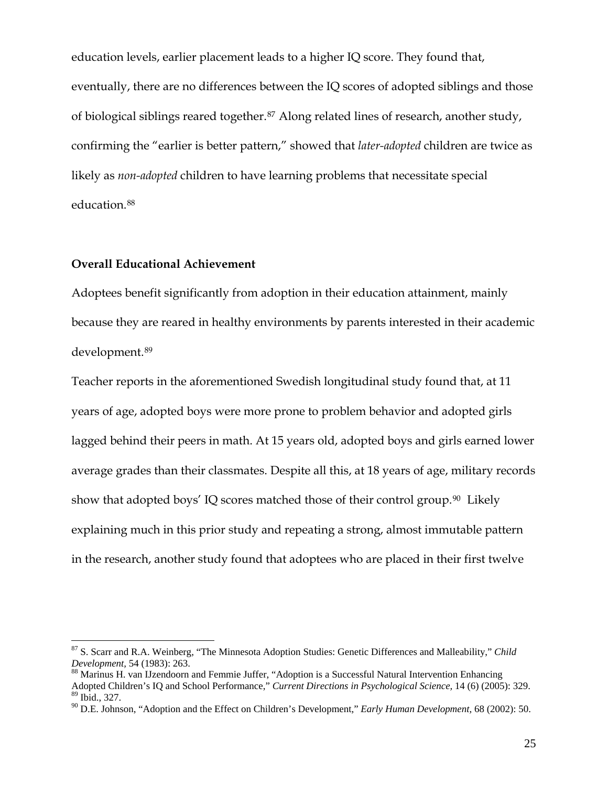education levels, earlier placement leads to a higher IQ score. They found that, eventually, there are no differences between the IQ scores of adopted siblings and those of biological siblings reared together.[87](#page-24-0) Along related lines of research, another study, confirming the "earlier is better pattern," showed that *later-adopted* children are twice as likely as *non-adopted* children to have learning problems that necessitate special education.[88](#page-24-1)

## **Overall Educational Achievement**

 $\overline{a}$ 

Adoptees benefit significantly from adoption in their education attainment, mainly because they are reared in healthy environments by parents interested in their academic development.[89](#page-24-2)

Teacher reports in the aforementioned Swedish longitudinal study found that, at 11 years of age, adopted boys were more prone to problem behavior and adopted girls lagged behind their peers in math. At 15 years old, adopted boys and girls earned lower average grades than their classmates. Despite all this, at 18 years of age, military records show that adopted boys' IQ scores matched those of their control group.<sup>[90](#page-24-3)</sup> Likely explaining much in this prior study and repeating a strong, almost immutable pattern in the research, another study found that adoptees who are placed in their first twelve

<span id="page-24-0"></span><sup>87</sup> S. Scarr and R.A. Weinberg, "The Minnesota Adoption Studies: Genetic Differences and Malleability," *Child Development,* 54 (1983): 263.<br><sup>88</sup> Marinus H. van IJzendoorn and Femmie Juffer, "Adoption is a Successful Natural Intervention Enhancing

<span id="page-24-1"></span>Adopted Children's IQ and School Performance," *Current Directions in Psychological Science,* 14 (6) (2005): 329.  $89$  Ibid., 327.

<span id="page-24-3"></span><span id="page-24-2"></span><sup>90</sup> D.E. Johnson, "Adoption and the Effect on Children's Development," *Early Human Development,* 68 (2002): 50.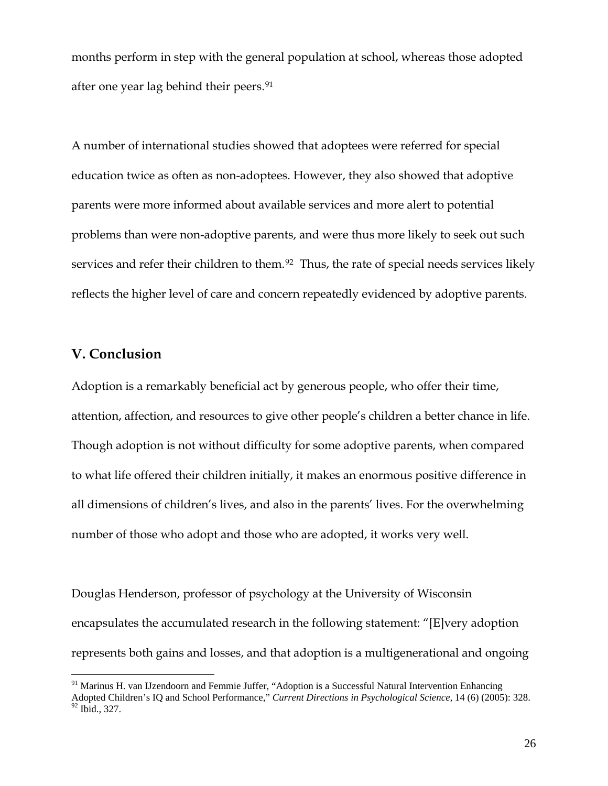months perform in step with the general population at school, whereas those adopted after one year lag behind their peers.<sup>[91](#page-25-0)</sup>

A number of international studies showed that adoptees were referred for special education twice as often as non-adoptees. However, they also showed that adoptive parents were more informed about available services and more alert to potential problems than were non-adoptive parents, and were thus more likely to seek out such services and refer their children to them.<sup>[92](#page-25-1)</sup> Thus, the rate of special needs services likely reflects the higher level of care and concern repeatedly evidenced by adoptive parents.

## **V. Conclusion**

 $\overline{a}$ 

Adoption is a remarkably beneficial act by generous people, who offer their time, attention, affection, and resources to give other people's children a better chance in life. Though adoption is not without difficulty for some adoptive parents, when compared to what life offered their children initially, it makes an enormous positive difference in all dimensions of children's lives, and also in the parents' lives. For the overwhelming number of those who adopt and those who are adopted, it works very well.

Douglas Henderson, professor of psychology at the University of Wisconsin encapsulates the accumulated research in the following statement: "[E]very adoption represents both gains and losses, and that adoption is a multigenerational and ongoing

<span id="page-25-1"></span><span id="page-25-0"></span><sup>&</sup>lt;sup>91</sup> Marinus H. van IJzendoorn and Femmie Juffer, "Adoption is a Successful Natural Intervention Enhancing Adopted Children's IQ and School Performance," *Current Directions in Psychological Science,* 14 (6) (2005): 328.  $92$  Ibid., 327.